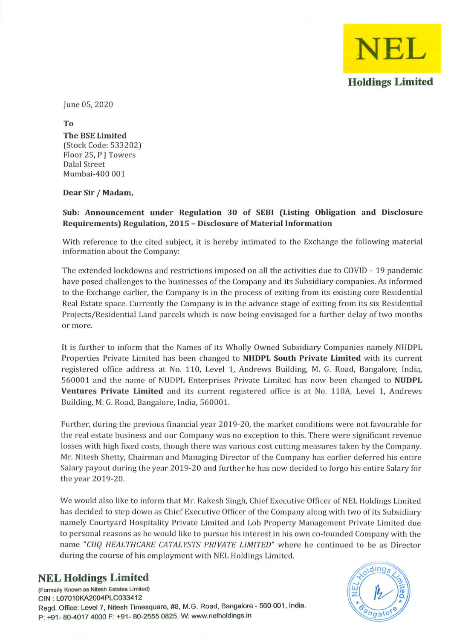

June 05,2020

To The BSE Limited (Stock Code: 533202) Floor 25, P J Towers Dalal Street Mumbai-400 001

Dear Sir / Madam,

## Sub: Announcement under Regulation 30 of SEBI (Listing Obligation and Disclosure Requirements) Regulation, 2015 - Disclosure of Material Information

With reference to the cited subject, it is hereby intimated to the Exchange the following material information about the Company:

The extended lockdowns and restrictions imposed on all the activities due to  $COVID - 19$  pandemic have posed challenges to the businesses of the Company and its Subsidiary companies. As informed to the Exchange earlier, the Company is in the process of exiting from its existing core Residential Real Estate space. Currently the Company is in the advance stage of exiting from its six Residential Projects/Residential Land parcels which is now being envisaged for a further delay of two months **or more.** 

It is further to inform that the Names of its Wholly Owned Subsidiary Companies namely NHDPL Properties Private Limited has been changed to NHDPL South Private Limited with its current registered office address at No. 110, Level 1, Andrews Building, M. G. Road, Bangalore, India, 560001 and the name of NUDPL Enterprises Private Limited has now been changed to NUDPL Ventures Private Limited and its current registered office is at No. 110A, Level 1, Andrews Building, M. G. Road, Bangalore, India, 560001.

Further, during the previous financial year 2019-20, the market conditions were not favourable for the real estate business and our Company was no exception to this. There were significant revenue losses with high fixed costs, though there was various cost cutting measures taken by the Company. Mr. Nitesh Shetty, Chairman and Managing Director of the Company has earlier deferred his entire Salary payout during the year 2019-20 and further he has now decided to forgo his entire Salary for the year 2019-20.

We would also like to inform that Mr. Rakesh Singh, Chief Executive Officer of NEL Holdings Limited has decided to step down as Chief Executive Officer of the Company along with two of its Subsidiary namely Courtyard Hospitality Private Limited and Lob Property Management Private Limited due to personal reasons as he would like to pursue his interest in his own co-founded Company with the name "CIIQ HEALTHCARE CATALYSTS PRIVATE LIMITED" where he continued to be as Director during the course of his employment with NEL Holdings Limited.

## **NEL Holdings Limited**

**(Formerly Known as Nitesh Estates Limited)**  CIN : L07010KA2004PLC033412 Regd. Office: Level 7, Nitesh Timesquare, #8, M.G. Road, Bangalore - 560 001, India. P: +91- 804017 4000 F: +91- 80-2555 0825, W: www.nelholdings.in